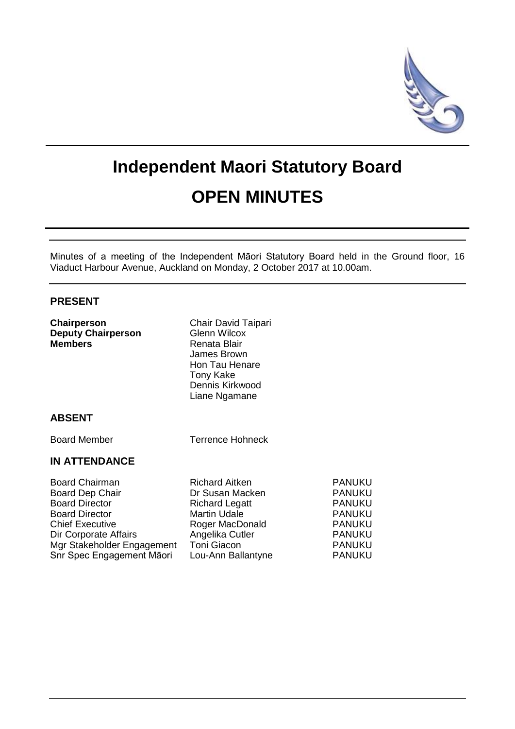

# **Independent Maori Statutory Board OPEN MINUTES**

Minutes of a meeting of the Independent Māori Statutory Board held in the Ground floor, 16 Viaduct Harbour Avenue, Auckland on Monday, 2 October 2017 at 10.00am.

> PANUKU **PANUKU PANUKU** PANUKU PANUKU **PANUKU PANUKU PANUKU**

# **PRESENT**

| Chairperson<br><b>Deputy Chairperson</b><br><b>Members</b>                                                                                                                                               | Chair David Taipari<br>Glenn Wilcox<br>Renata Blair<br>James Brown<br>Hon Tau Henare<br><b>Tony Kake</b><br>Dennis Kirkwood<br>Liane Ngamane                        |
|----------------------------------------------------------------------------------------------------------------------------------------------------------------------------------------------------------|---------------------------------------------------------------------------------------------------------------------------------------------------------------------|
| <b>ABSENT</b>                                                                                                                                                                                            |                                                                                                                                                                     |
| <b>Board Member</b>                                                                                                                                                                                      | <b>Terrence Hohneck</b>                                                                                                                                             |
| <b>IN ATTENDANCE</b>                                                                                                                                                                                     |                                                                                                                                                                     |
| <b>Board Chairman</b><br>Board Dep Chair<br><b>Board Director</b><br><b>Board Director</b><br><b>Chief Executive</b><br>Dir Corporate Affairs<br>Mgr Stakeholder Engagement<br>Snr Spec Engagement Māori | Richard Aitken<br>Dr Susan Macken<br><b>Richard Legatt</b><br><b>Martin Udale</b><br>Roger MacDonald<br>Angelika Cutler<br><b>Toni Giacon</b><br>Lou-Ann Ballantyne |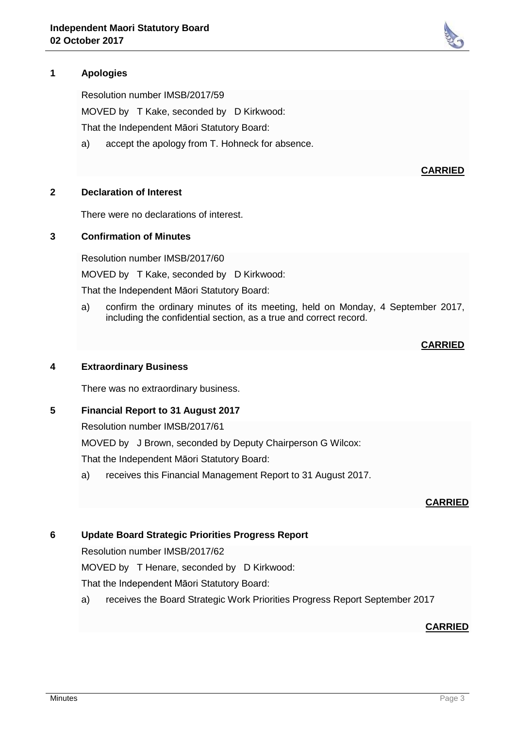# **1 Apologies**

Resolution number IMSB/2017/59

MOVED by T Kake, seconded by D Kirkwood:

That the Independent Māori Statutory Board:

a) accept the apology from T. Hohneck for absence.

#### **2 Declaration of Interest**

There were no declarations of interest.

#### **3 Confirmation of Minutes**

Resolution number IMSB/2017/60

MOVED by T Kake, seconded by D Kirkwood:

That the Independent Māori Statutory Board:

a) confirm the ordinary minutes of its meeting, held on Monday, 4 September 2017, including the confidential section, as a true and correct record.

#### **CARRIED**

## **4 Extraordinary Business**

There was no extraordinary business.

#### **5 Financial Report to 31 August 2017**

Resolution number IMSB/2017/61

MOVED by J Brown, seconded by Deputy Chairperson G Wilcox:

That the Independent Māori Statutory Board:

a) receives this Financial Management Report to 31 August 2017.

#### **CARRIED**

## **6 Update Board Strategic Priorities Progress Report**

Resolution number IMSB/2017/62

MOVED by T Henare, seconded by D Kirkwood:

That the Independent Māori Statutory Board:

a) receives the Board Strategic Work Priorities Progress Report September 2017

#### **CARRIED**



#### **CARRIED**